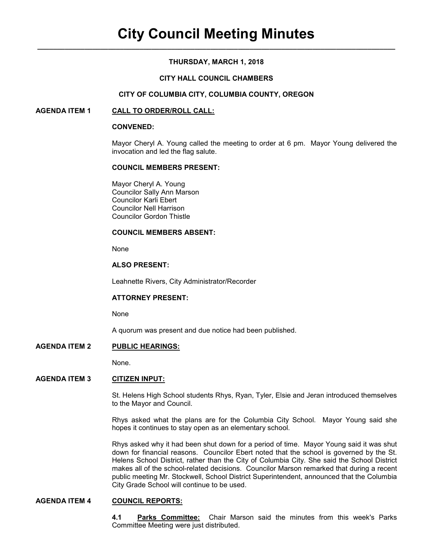# **THURSDAY, MARCH 1, 2018**

### **CITY HALL COUNCIL CHAMBERS**

#### **CITY OF COLUMBIA CITY, COLUMBIA COUNTY, OREGON**

#### **AGENDA ITEM 1 CALL TO ORDER/ROLL CALL:**

#### **CONVENED:**

Mayor Cheryl A. Young called the meeting to order at 6 pm. Mayor Young delivered the invocation and led the flag salute.

#### **COUNCIL MEMBERS PRESENT:**

 Mayor Cheryl A. Young Councilor Sally Ann Marson Councilor Karli Ebert Councilor Nell Harrison Councilor Gordon Thistle

#### **COUNCIL MEMBERS ABSENT:**

None

### **ALSO PRESENT:**

Leahnette Rivers, City Administrator/Recorder

#### **ATTORNEY PRESENT:**

None

A quorum was present and due notice had been published.

### **AGENDA ITEM 2 PUBLIC HEARINGS:**

None.

### **AGENDA ITEM 3 CITIZEN INPUT:**

St. Helens High School students Rhys, Ryan, Tyler, Elsie and Jeran introduced themselves to the Mayor and Council.

Rhys asked what the plans are for the Columbia City School. Mayor Young said she hopes it continues to stay open as an elementary school.

Rhys asked why it had been shut down for a period of time. Mayor Young said it was shut down for financial reasons. Councilor Ebert noted that the school is governed by the St. Helens School District, rather than the City of Columbia City. She said the School District makes all of the school-related decisions. Councilor Marson remarked that during a recent public meeting Mr. Stockwell, School District Superintendent, announced that the Columbia City Grade School will continue to be used.

### **AGENDA ITEM 4 COUNCIL REPORTS:**

**4.1 Parks Committee:** Chair Marson said the minutes from this week's Parks Committee Meeting were just distributed.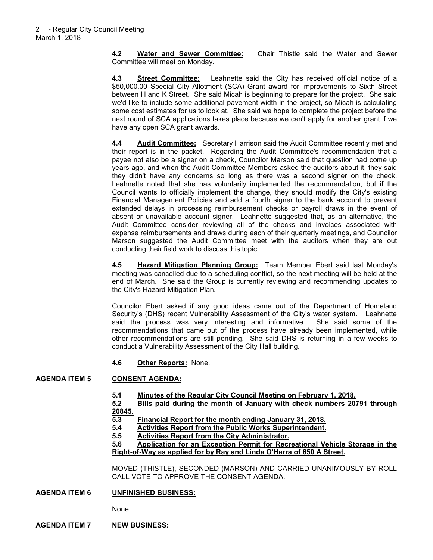**4.2 Water and Sewer Committee:** Chair Thistle said the Water and Sewer Committee will meet on Monday.

**4.3 Street Committee:** Leahnette said the City has received official notice of a \$50,000.00 Special City Allotment (SCA) Grant award for improvements to Sixth Street between H and K Street. She said Micah is beginning to prepare for the project. She said we'd like to include some additional pavement width in the project, so Micah is calculating some cost estimates for us to look at. She said we hope to complete the project before the next round of SCA applications takes place because we can't apply for another grant if we have any open SCA grant awards.

**4.4 Audit Committee:** Secretary Harrison said the Audit Committee recently met and their report is in the packet. Regarding the Audit Committee's recommendation that a payee not also be a signer on a check, Councilor Marson said that question had come up years ago, and when the Audit Committee Members asked the auditors about it, they said they didn't have any concerns so long as there was a second signer on the check. Leahnette noted that she has voluntarily implemented the recommendation, but if the Council wants to officially implement the change, they should modify the City's existing Financial Management Policies and add a fourth signer to the bank account to prevent extended delays in processing reimbursement checks or payroll draws in the event of absent or unavailable account signer. Leahnette suggested that, as an alternative, the Audit Committee consider reviewing all of the checks and invoices associated with expense reimbursements and draws during each of their quarterly meetings, and Councilor Marson suggested the Audit Committee meet with the auditors when they are out conducting their field work to discuss this topic.

**4.5 Hazard Mitigation Planning Group:** Team Member Ebert said last Monday's meeting was cancelled due to a scheduling conflict, so the next meeting will be held at the end of March. She said the Group is currently reviewing and recommending updates to the City's Hazard Mitigation Plan.

Councilor Ebert asked if any good ideas came out of the Department of Homeland Security's (DHS) recent Vulnerability Assessment of the City's water system. Leahnette said the process was very interesting and informative. She said some of the recommendations that came out of the process have already been implemented, while other recommendations are still pending. She said DHS is returning in a few weeks to conduct a Vulnerability Assessment of the City Hall building.

**4.6 Other Reports:** None.

# **AGENDA ITEM 5 CONSENT AGENDA:**

**5.1 Minutes of the Regular City Council Meeting on February 1, 2018.**

**5.2 Bills paid during the month of January with check numbers 20791 through 20845.**

- **5.3 Financial Report for the month ending January 31, 2018.**
- **5.4 Activities Report from the Public Works Superintendent.**
	- **5.5 Activities Report from the City Administrator.**

### **5.6 Application for an Exception Permit for Recreational Vehicle Storage in the Right-of-Way as applied for by Ray and Linda O'Harra of 650 A Street.**

MOVED (THISTLE), SECONDED (MARSON) AND CARRIED UNANIMOUSLY BY ROLL CALL VOTE TO APPROVE THE CONSENT AGENDA.

**AGENDA ITEM 6 UNFINISHED BUSINESS:**

None.

# **AGENDA ITEM 7 NEW BUSINESS:**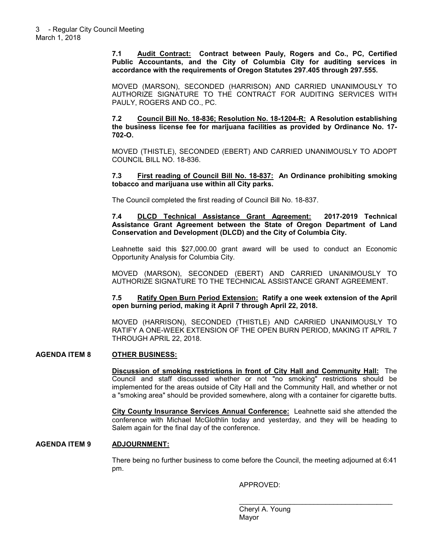**7.1 Audit Contract: Contract between Pauly, Rogers and Co., PC, Certified Public Accountants, and the City of Columbia City for auditing services in accordance with the requirements of Oregon Statutes 297.405 through 297.555.** 

MOVED (MARSON), SECONDED (HARRISON) AND CARRIED UNANIMOUSLY TO AUTHORIZE SIGNATURE TO THE CONTRACT FOR AUDITING SERVICES WITH PAULY, ROGERS AND CO., PC.

**7.2 Council Bill No. 18-836; Resolution No. 18-1204-R: A Resolution establishing the business license fee for marijuana facilities as provided by Ordinance No. 17- 702-O.** 

MOVED (THISTLE), SECONDED (EBERT) AND CARRIED UNANIMOUSLY TO ADOPT COUNCIL BILL NO. 18-836.

**7.3 First reading of Council Bill No. 18-837: An Ordinance prohibiting smoking tobacco and marijuana use within all City parks.** 

The Council completed the first reading of Council Bill No. 18-837.

**7.4 DLCD Technical Assistance Grant Agreement: 2017-2019 Technical Assistance Grant Agreement between the State of Oregon Department of Land Conservation and Development (DLCD) and the City of Columbia City.** 

Leahnette said this \$27,000.00 grant award will be used to conduct an Economic Opportunity Analysis for Columbia City.

MOVED (MARSON), SECONDED (EBERT) AND CARRIED UNANIMOUSLY TO AUTHORIZE SIGNATURE TO THE TECHNICAL ASSISTANCE GRANT AGREEMENT.

**7.5 Ratify Open Burn Period Extension: Ratify a one week extension of the April open burning period, making it April 7 through April 22, 2018.** 

MOVED (HARRISON), SECONDED (THISTLE) AND CARRIED UNANIMOUSLY TO RATIFY A ONE-WEEK EXTENSION OF THE OPEN BURN PERIOD, MAKING IT APRIL 7 THROUGH APRIL 22, 2018.

#### **AGENDA ITEM 8 OTHER BUSINESS:**

**Discussion of smoking restrictions in front of City Hall and Community Hall:** The Council and staff discussed whether or not "no smoking" restrictions should be implemented for the areas outside of City Hall and the Community Hall, and whether or not a "smoking area" should be provided somewhere, along with a container for cigarette butts.

**City County Insurance Services Annual Conference:** Leahnette said she attended the conference with Michael McGlothlin today and yesterday, and they will be heading to Salem again for the final day of the conference.

#### **AGENDA ITEM 9 ADJOURNMENT:**

There being no further business to come before the Council, the meeting adjourned at 6:41 pm.

 $\mathcal{L}_\mathcal{L}$  , which is a set of the set of the set of the set of the set of the set of the set of the set of the set of the set of the set of the set of the set of the set of the set of the set of the set of the set of

APPROVED:

 Cheryl A. Young distribution of the contract of the Mayor Mayor (1990) and the Mayor (1990) and the Mayor (1990) and the Mayor